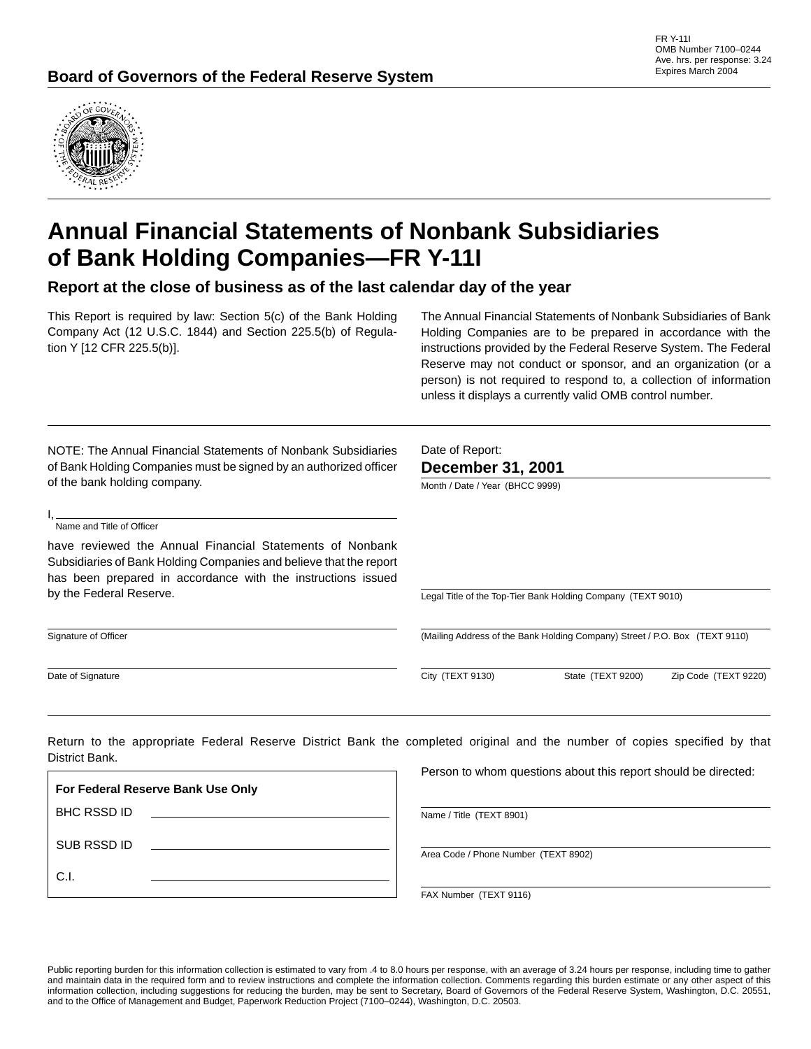

# **Annual Financial Statements of Nonbank Subsidiaries of Bank Holding Companies—FR Y-11I**

**Report at the close of business as of the last calendar day of the year**

This Report is required by law: Section 5(c) of the Bank Holding Company Act (12 U.S.C. 1844) and Section 225.5(b) of Regulation Y [12 CFR 225.5(b)].

The Annual Financial Statements of Nonbank Subsidiaries of Bank Holding Companies are to be prepared in accordance with the instructions provided by the Federal Reserve System. The Federal Reserve may not conduct or sponsor, and an organization (or a person) is not required to respond to, a collection of information unless it displays a currently valid OMB control number.

| NOTE: The Annual Financial Statements of Nonbank Subsidiaries<br>of Bank Holding Companies must be signed by an authorized officer<br>of the bank holding company.                             | Date of Report:<br><b>December 31, 2001</b>                                 |  |  |  |  |  |  |
|------------------------------------------------------------------------------------------------------------------------------------------------------------------------------------------------|-----------------------------------------------------------------------------|--|--|--|--|--|--|
| Name and Title of Officer                                                                                                                                                                      | Month / Date / Year (BHCC 9999)                                             |  |  |  |  |  |  |
| have reviewed the Annual Financial Statements of Nonbank<br>Subsidiaries of Bank Holding Companies and believe that the report<br>has been prepared in accordance with the instructions issued |                                                                             |  |  |  |  |  |  |
| by the Federal Reserve.                                                                                                                                                                        | Legal Title of the Top-Tier Bank Holding Company (TEXT 9010)                |  |  |  |  |  |  |
| Signature of Officer                                                                                                                                                                           | (Mailing Address of the Bank Holding Company) Street / P.O. Box (TEXT 9110) |  |  |  |  |  |  |
| Date of Signature                                                                                                                                                                              | City (TEXT 9130)<br>State (TEXT 9200)<br>Zip Code (TEXT 9220)               |  |  |  |  |  |  |

Return to the appropriate Federal Reserve District Bank the completed original and the number of copies specified by that District Bank.

**For Federal Reserve Bank Use Only** BHC RSSD ID SUB RSSD ID C.I.

Person to whom questions about this report should be directed:

Name / Title (TEXT 8901)

Area Code / Phone Number (TEXT 8902)

FAX Number (TEXT 9116)

Public reporting burden for this information collection is estimated to vary from .4 to 8.0 hours per response, with an average of 3.24 hours per response, including time to gather and maintain data in the required form and to review instructions and complete the information collection. Comments regarding this burden estimate or any other aspect of this information collection, including suggestions for reducing the burden, may be sent to Secretary, Board of Governors of the Federal Reserve System, Washington, D.C. 20551, and to the Office of Management and Budget, Paperwork Reduction Project (7100–0244), Washington, D.C. 20503.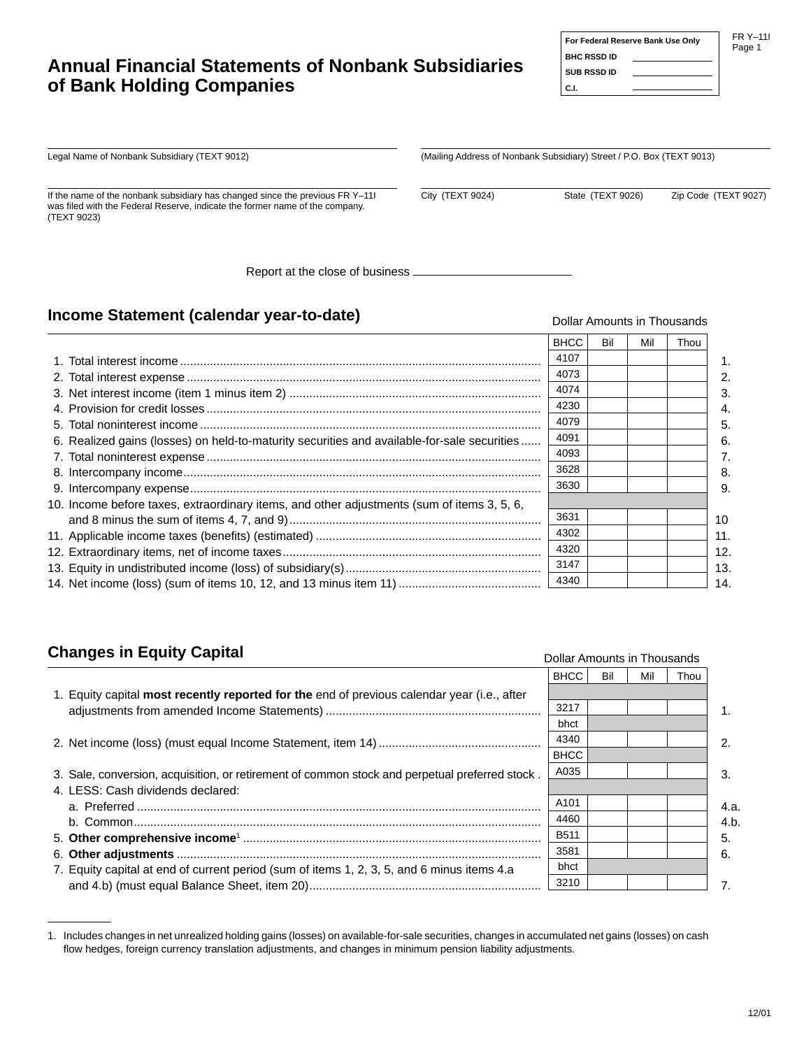# **Annual Financial Statements of Nonbank Subsidiaries of Bank Holding Companies**

#### FR Y–11I Page 1

Legal Name of Nonbank Subsidiary (TEXT 9012)

If the name of the nonbank subsidiary has changed since the previous FR Y–11I was filed with the Federal Reserve, indicate the former name of the company. (TEXT 9023)

Report at the close of business

### **Income Statement (calendar year-to-date)**

|                                                                                             | <b>BHCC</b> | Bil | Mil | Thou |
|---------------------------------------------------------------------------------------------|-------------|-----|-----|------|
|                                                                                             | 4107        |     |     |      |
|                                                                                             | 4073        |     |     |      |
|                                                                                             | 4074        |     |     |      |
|                                                                                             | 4230        |     |     |      |
|                                                                                             | 4079        |     |     |      |
| 6. Realized gains (losses) on held-to-maturity securities and available-for-sale securities | 4091        |     |     |      |
|                                                                                             | 4093        |     |     |      |
|                                                                                             | 3628        |     |     |      |
|                                                                                             | 3630        |     |     |      |
| 10. Income before taxes, extraordinary items, and other adjustments (sum of items 3, 5, 6,  |             |     |     |      |
|                                                                                             | 3631        |     |     |      |
|                                                                                             | 4302        |     |     |      |
|                                                                                             | 4320        |     |     |      |
|                                                                                             | 3147        |     |     |      |
|                                                                                             | 4340        |     |     |      |

# **Changes in Equity Capital**

|                                                                                                | <b>BHCC</b> | Bil | Mil | Thou |                       |
|------------------------------------------------------------------------------------------------|-------------|-----|-----|------|-----------------------|
| 1. Equity capital most recently reported for the end of previous calendar year (i.e., after    |             |     |     |      |                       |
|                                                                                                | 3217        |     |     |      |                       |
|                                                                                                | bhct        |     |     |      |                       |
|                                                                                                | 4340        |     |     |      | $\mathcal{P}_{\cdot}$ |
| <b>BHCC</b>                                                                                    |             |     |     |      |                       |
| 3. Sale, conversion, acquisition, or retirement of common stock and perpetual preferred stock. | A035        |     |     |      | 3.                    |
| 4. LESS: Cash dividends declared:                                                              |             |     |     |      |                       |
|                                                                                                | A101        |     |     |      | 4.a.                  |
|                                                                                                | 4460        |     |     |      | 4.b.                  |
|                                                                                                | <b>B511</b> |     |     |      | 5.                    |
|                                                                                                | 3581        |     |     |      | 6.                    |
| 7. Equity capital at end of current period (sum of items 1, 2, 3, 5, and 6 minus items 4.a     | bhct        |     |     |      |                       |
|                                                                                                | 3210        |     |     |      |                       |
|                                                                                                |             |     |     |      |                       |

| 1. Includes changes in net unrealized holding gains (losses) on available-for-sale securities, changes in accumulated net gains (losses) on cash |
|--------------------------------------------------------------------------------------------------------------------------------------------------|
| flow hedges, foreign currency translation adjustments, and changes in minimum pension liability adjustments.                                     |

#### Dollar Amounts in Thousands

 **For Federal Reserve Bank Use Only**

Dollar Amounts in Thousands

(Mailing Address of Nonbank Subsidiary) Street / P.O. Box (TEXT 9013)

City (TEXT 9024) State (TEXT 9026) Zip Code (TEXT 9027)

 **BHC RSSD ID SUB RSSD ID C.I.**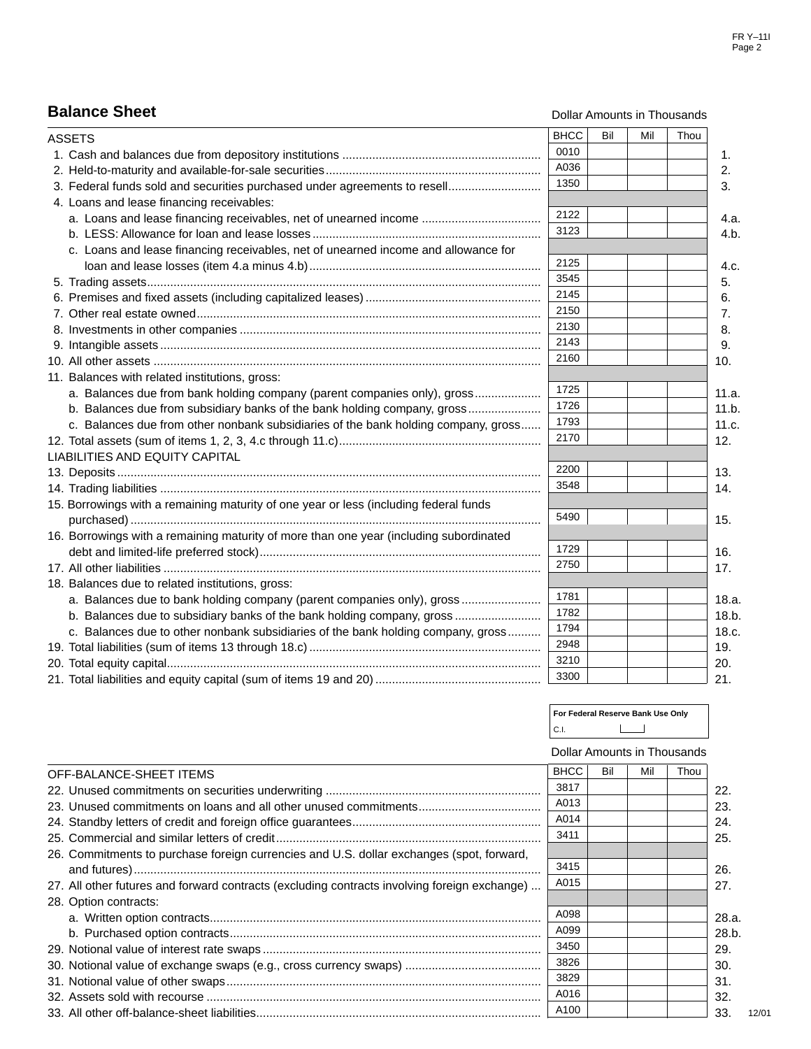# **Balance Sheet**

Dollar Amounts in Thousands

| <b>ASSETS</b>                                                                          | <b>BHCC</b> | Bil | Mil | Thou |
|----------------------------------------------------------------------------------------|-------------|-----|-----|------|
|                                                                                        | 0010        |     |     |      |
|                                                                                        | A036        |     |     |      |
| 3. Federal funds sold and securities purchased under agreements to resell              | 1350        |     |     |      |
| 4. Loans and lease financing receivables:                                              |             |     |     |      |
| a. Loans and lease financing receivables, net of unearned income                       | 2122        |     |     |      |
|                                                                                        | 3123        |     |     |      |
| c. Loans and lease financing receivables, net of unearned income and allowance for     |             |     |     |      |
|                                                                                        | 2125        |     |     |      |
|                                                                                        | 3545        |     |     |      |
|                                                                                        | 2145        |     |     |      |
|                                                                                        | 2150        |     |     |      |
|                                                                                        | 2130        |     |     |      |
|                                                                                        | 2143        |     |     |      |
|                                                                                        | 2160        |     |     |      |
| 11. Balances with related institutions, gross:                                         |             |     |     |      |
| a. Balances due from bank holding company (parent companies only), gross               | 1725        |     |     |      |
| b. Balances due from subsidiary banks of the bank holding company, gross               | 1726        |     |     |      |
| c. Balances due from other nonbank subsidiaries of the bank holding company, gross     | 1793        |     |     |      |
|                                                                                        | 2170        |     |     |      |
| LIABILITIES AND EQUITY CAPITAL                                                         |             |     |     |      |
|                                                                                        | 2200        |     |     |      |
|                                                                                        | 3548        |     |     |      |
| 15. Borrowings with a remaining maturity of one year or less (including federal funds  |             |     |     |      |
|                                                                                        | 5490        |     |     |      |
| 16. Borrowings with a remaining maturity of more than one year (including subordinated |             |     |     |      |
|                                                                                        | 1729        |     |     |      |
|                                                                                        | 2750        |     |     |      |
| 18. Balances due to related institutions, gross:                                       |             |     |     |      |
| a. Balances due to bank holding company (parent companies only), gross                 | 1781        |     |     |      |
| b. Balances due to subsidiary banks of the bank holding company, gross                 | 1782        |     |     |      |
| c. Balances due to other nonbank subsidiaries of the bank holding company, gross       | 1794        |     |     |      |
|                                                                                        | 2948        |     |     |      |
|                                                                                        | 3210        |     |     |      |
|                                                                                        | 3300        |     |     |      |

| For Federal Reserve Bank Use Only |  |  |
|-----------------------------------|--|--|
| C.I.                              |  |  |

12/01

| <b>BHCC</b><br>OFF-BALANCE-SHEET ITEMS                                                       |      |  |     | Dollar Amounts in Thousands |
|----------------------------------------------------------------------------------------------|------|--|-----|-----------------------------|
|                                                                                              |      |  | Mil | Thou                        |
|                                                                                              | 3817 |  |     |                             |
|                                                                                              | A013 |  |     |                             |
|                                                                                              | A014 |  |     |                             |
|                                                                                              | 3411 |  |     |                             |
| 26. Commitments to purchase foreign currencies and U.S. dollar exchanges (spot, forward,     |      |  |     |                             |
|                                                                                              | 3415 |  |     |                             |
| 27. All other futures and forward contracts (excluding contracts involving foreign exchange) | A015 |  |     |                             |
| 28. Option contracts:                                                                        |      |  |     |                             |
|                                                                                              | A098 |  |     |                             |
|                                                                                              | A099 |  |     |                             |
|                                                                                              | 3450 |  |     |                             |
|                                                                                              | 3826 |  |     |                             |
|                                                                                              | 3829 |  |     |                             |
|                                                                                              | A016 |  |     |                             |
|                                                                                              | A100 |  |     |                             |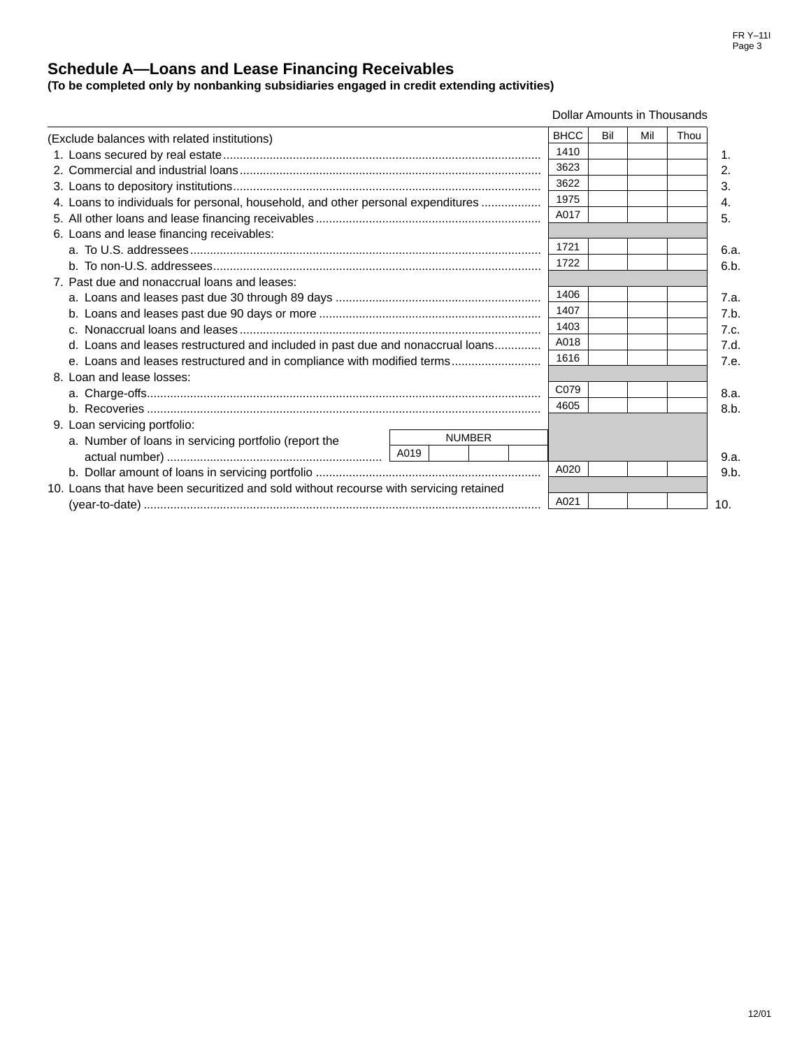FR Y–11I Page 3

## **Schedule A—Loans and Lease Financing Receivables**

**(To be completed only by nonbanking subsidiaries engaged in credit extending activities)**

#### Dollar Amounts in Thousands

| (Exclude balances with related institutions)                                           |      |  |               | <b>BHCC</b> | Bil  | Mil | Thou |  |
|----------------------------------------------------------------------------------------|------|--|---------------|-------------|------|-----|------|--|
|                                                                                        |      |  |               |             | 1410 |     |      |  |
|                                                                                        |      |  |               |             | 3623 |     |      |  |
|                                                                                        |      |  |               |             | 3622 |     |      |  |
| 4. Loans to individuals for personal, household, and other personal expenditures       |      |  |               |             | 1975 |     |      |  |
|                                                                                        |      |  |               |             | A017 |     |      |  |
| 6. Loans and lease financing receivables:                                              |      |  |               |             |      |     |      |  |
|                                                                                        |      |  |               | 1721        |      |     |      |  |
|                                                                                        |      |  |               | 1722        |      |     |      |  |
| 7. Past due and nonaccrual loans and leases:                                           |      |  |               |             |      |     |      |  |
|                                                                                        |      |  |               |             | 1406 |     |      |  |
|                                                                                        |      |  |               |             | 1407 |     |      |  |
|                                                                                        |      |  |               |             | 1403 |     |      |  |
| d. Loans and leases restructured and included in past due and nonaccrual loans         |      |  |               |             | A018 |     |      |  |
| e. Loans and leases restructured and in compliance with modified terms                 |      |  |               |             | 1616 |     |      |  |
| 8. Loan and lease losses:                                                              |      |  |               |             |      |     |      |  |
|                                                                                        |      |  |               |             | C079 |     |      |  |
|                                                                                        |      |  |               |             | 4605 |     |      |  |
| 9. Loan servicing portfolio:                                                           |      |  |               |             |      |     |      |  |
| a. Number of loans in servicing portfolio (report the                                  | A019 |  | <b>NUMBER</b> |             |      |     |      |  |
|                                                                                        |      |  |               | A020        |      |     |      |  |
| 10. Loans that have been securitized and sold without recourse with servicing retained |      |  |               |             |      |     |      |  |
|                                                                                        |      |  | A021          |             |      |     |      |  |